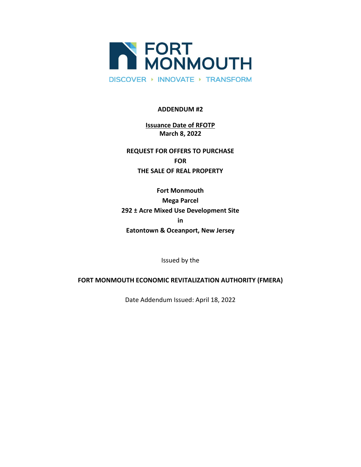

# **ADDENDUM #2**

# **Issuance Date of RFOTP March 8, 2022**

**REQUEST FOR OFFERS TO PURCHASE FOR THE SALE OF REAL PROPERTY**

**Fort Monmouth Mega Parcel 292 ± Acre Mixed Use Development Site in Eatontown & Oceanport, New Jersey**

Issued by the

# **FORT MONMOUTH ECONOMIC REVITALIZATION AUTHORITY (FMERA)**

Date Addendum Issued: April 18, 2022